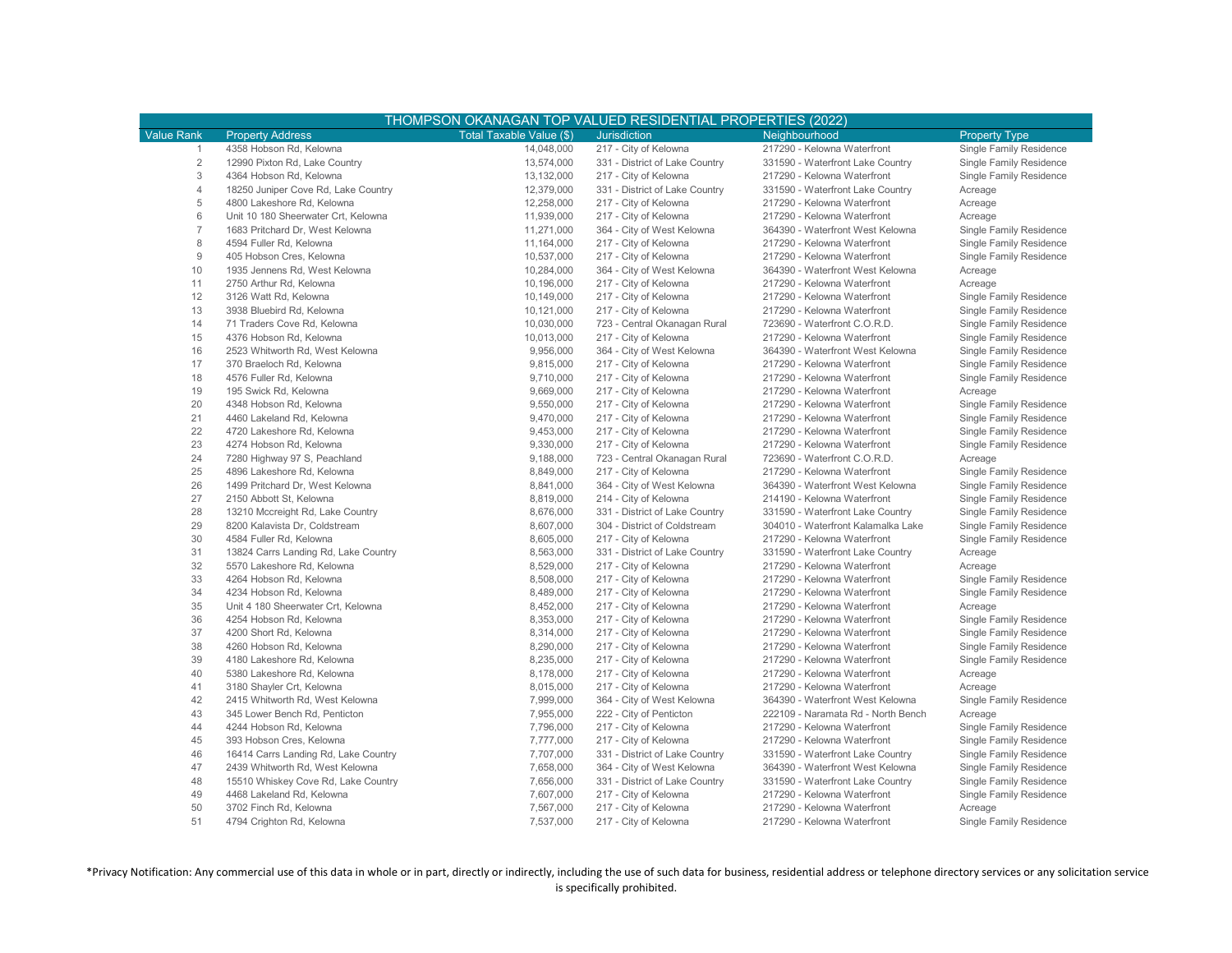| <b>Value Rank</b><br>Total Taxable Value (\$)<br><b>Property Address</b><br><b>Jurisdiction</b><br>Neighbourhood<br><b>Property Type</b><br>4358 Hobson Rd, Kelowna<br>14,048,000<br>217 - City of Kelowna<br>217290 - Kelowna Waterfront<br>Single Family Residence<br>-1<br>$\overline{2}$<br>12990 Pixton Rd, Lake Country<br>13,574,000<br>331 - District of Lake Country<br>331590 - Waterfront Lake Country<br>Single Family Residence<br>3<br>4364 Hobson Rd, Kelowna<br>13,132,000<br>217 - City of Kelowna<br>217290 - Kelowna Waterfront<br>Single Family Residence<br>4<br>18250 Juniper Cove Rd, Lake Country<br>12,379,000<br>331 - District of Lake Country<br>331590 - Waterfront Lake Country<br>Acreage<br>5<br>4800 Lakeshore Rd, Kelowna<br>12,258,000<br>217 - City of Kelowna<br>217290 - Kelowna Waterfront<br>Acreage<br>6<br>Unit 10 180 Sheerwater Crt, Kelowna<br>11,939,000<br>217 - City of Kelowna<br>217290 - Kelowna Waterfront<br>Acreage<br>$\overline{7}$<br>1683 Pritchard Dr, West Kelowna<br>11,271,000<br>364 - City of West Kelowna<br>364390 - Waterfront West Kelowna<br>Single Family Residence<br>8<br>4594 Fuller Rd, Kelowna<br>11,164,000<br>217 - City of Kelowna<br>217290 - Kelowna Waterfront<br>Single Family Residence<br>9<br>405 Hobson Cres, Kelowna<br>10,537,000<br>217 - City of Kelowna<br>217290 - Kelowna Waterfront<br>Single Family Residence<br>10<br>1935 Jennens Rd, West Kelowna<br>10,284,000<br>364 - City of West Kelowna<br>364390 - Waterfront West Kelowna<br>Acreage<br>11<br>2750 Arthur Rd, Kelowna<br>10,196,000<br>217290 - Kelowna Waterfront<br>217 - City of Kelowna<br>Acreage<br>12<br>3126 Watt Rd, Kelowna<br>10,149,000<br>217290 - Kelowna Waterfront<br>Single Family Residence<br>217 - City of Kelowna<br>13<br>10,121,000<br>217290 - Kelowna Waterfront<br>Single Family Residence<br>3938 Bluebird Rd, Kelowna<br>217 - City of Kelowna<br>14<br>71 Traders Cove Rd, Kelowna<br>10,030,000<br>723 - Central Okanagan Rural<br>723690 - Waterfront C.O.R.D.<br>Single Family Residence<br>15<br>4376 Hobson Rd, Kelowna<br>10,013,000<br>217290 - Kelowna Waterfront<br>217 - City of Kelowna<br>Single Family Residence<br>16<br>2523 Whitworth Rd, West Kelowna<br>9,956,000<br>364 - City of West Kelowna<br>364390 - Waterfront West Kelowna<br>Single Family Residence<br>17<br>9,815,000<br>217290 - Kelowna Waterfront<br>370 Braeloch Rd, Kelowna<br>217 - City of Kelowna<br>Single Family Residence<br>18<br>4576 Fuller Rd, Kelowna<br>9,710,000<br>217 - City of Kelowna<br>217290 - Kelowna Waterfront<br>Single Family Residence<br>19<br>195 Swick Rd, Kelowna<br>9,669,000<br>217 - City of Kelowna<br>217290 - Kelowna Waterfront<br>Acreage<br>20<br>4348 Hobson Rd, Kelowna<br>9,550,000<br>217 - City of Kelowna<br>217290 - Kelowna Waterfront<br>Single Family Residence<br>21<br>9,470,000<br>4460 Lakeland Rd, Kelowna<br>217 - City of Kelowna<br>217290 - Kelowna Waterfront<br>Single Family Residence<br>22<br>9,453,000<br>217290 - Kelowna Waterfront<br>Single Family Residence<br>4720 Lakeshore Rd, Kelowna<br>217 - City of Kelowna<br>23<br>9,330,000<br>4274 Hobson Rd, Kelowna<br>217 - City of Kelowna<br>217290 - Kelowna Waterfront<br>Single Family Residence<br>24<br>7280 Highway 97 S, Peachland<br>9,188,000<br>723 - Central Okanagan Rural<br>723690 - Waterfront C.O.R.D.<br>Acreage<br>25<br>4896 Lakeshore Rd, Kelowna<br>8,849,000<br>217 - City of Kelowna<br>217290 - Kelowna Waterfront<br>Single Family Residence<br>26<br>1499 Pritchard Dr, West Kelowna<br>8,841,000<br>364 - City of West Kelowna<br>364390 - Waterfront West Kelowna<br>Single Family Residence<br>27<br>8,819,000<br>214190 - Kelowna Waterfront<br>2150 Abbott St, Kelowna<br>214 - City of Kelowna<br>Single Family Residence<br>28<br>13210 Mccreight Rd, Lake Country<br>8,676,000<br>331 - District of Lake Country<br>331590 - Waterfront Lake Country<br>Single Family Residence<br>29<br>8200 Kalavista Dr, Coldstream<br>8,607,000<br>304 - District of Coldstream<br>304010 - Waterfront Kalamalka Lake<br>Single Family Residence<br>30<br>4584 Fuller Rd, Kelowna<br>8,605,000<br>217 - City of Kelowna<br>217290 - Kelowna Waterfront<br>Single Family Residence<br>31<br>8,563,000<br>13824 Carrs Landing Rd, Lake Country<br>331 - District of Lake Country<br>331590 - Waterfront Lake Country<br>Acreage<br>32<br>8,529,000<br>5570 Lakeshore Rd, Kelowna<br>217 - City of Kelowna<br>217290 - Kelowna Waterfront<br>Acreage<br>33<br>4264 Hobson Rd, Kelowna<br>8,508,000<br>217290 - Kelowna Waterfront<br>Single Family Residence<br>217 - City of Kelowna<br>34<br>8,489,000<br>217290 - Kelowna Waterfront<br>4234 Hobson Rd, Kelowna<br>217 - City of Kelowna<br>Single Family Residence<br>35<br>Unit 4 180 Sheerwater Crt, Kelowna<br>8,452,000<br>217 - City of Kelowna<br>217290 - Kelowna Waterfront<br>Acreage<br>36<br>8,353,000<br>Single Family Residence<br>4254 Hobson Rd, Kelowna<br>217 - City of Kelowna<br>217290 - Kelowna Waterfront<br>37<br>4200 Short Rd, Kelowna<br>8,314,000<br>217 - City of Kelowna<br>217290 - Kelowna Waterfront<br>Single Family Residence<br>38<br>8,290,000<br>Single Family Residence<br>4260 Hobson Rd, Kelowna<br>217 - City of Kelowna<br>217290 - Kelowna Waterfront<br>39<br>8,235,000<br>4180 Lakeshore Rd, Kelowna<br>217 - City of Kelowna<br>217290 - Kelowna Waterfront<br>Single Family Residence<br>40<br>5380 Lakeshore Rd, Kelowna<br>8,178,000<br>217 - City of Kelowna<br>217290 - Kelowna Waterfront<br>Acreage<br>41<br>3180 Shayler Crt, Kelowna<br>8,015,000<br>217 - City of Kelowna<br>217290 - Kelowna Waterfront<br>Acreage<br>42<br>2415 Whitworth Rd, West Kelowna<br>7,999,000<br>364390 - Waterfront West Kelowna<br>Single Family Residence<br>364 - City of West Kelowna<br>43<br>345 Lower Bench Rd, Penticton<br>7,955,000<br>222 - City of Penticton<br>222109 - Naramata Rd - North Bench<br>Acreage<br>44<br>4244 Hobson Rd, Kelowna<br>7,796,000<br>217 - City of Kelowna<br>217290 - Kelowna Waterfront<br>Single Family Residence<br>45<br>393 Hobson Cres, Kelowna<br>7,777,000<br>217 - City of Kelowna<br>217290 - Kelowna Waterfront<br>Single Family Residence<br>46<br>16414 Carrs Landing Rd, Lake Country<br>7,707,000<br>331 - District of Lake Country<br>331590 - Waterfront Lake Country<br>Single Family Residence<br>47<br>2439 Whitworth Rd, West Kelowna<br>7,658,000<br>364390 - Waterfront West Kelowna<br>364 - City of West Kelowna<br>Single Family Residence<br>48<br>15510 Whiskey Cove Rd, Lake Country<br>7,656,000<br>331 - District of Lake Country<br>331590 - Waterfront Lake Country<br>Single Family Residence<br>49<br>4468 Lakeland Rd, Kelowna<br>7,607,000<br>217290 - Kelowna Waterfront<br>Single Family Residence<br>217 - City of Kelowna<br>50<br>3702 Finch Rd, Kelowna<br>7,567,000<br>217290 - Kelowna Waterfront<br>217 - City of Kelowna<br>Acreage<br>51<br>4794 Crighton Rd, Kelowna<br>7,537,000<br>217290 - Kelowna Waterfront | THOMPSON OKANAGAN TOP VALUED RESIDENTIAL PROPERTIES (2022) |  |                       |  |                         |  |  |  |
|---------------------------------------------------------------------------------------------------------------------------------------------------------------------------------------------------------------------------------------------------------------------------------------------------------------------------------------------------------------------------------------------------------------------------------------------------------------------------------------------------------------------------------------------------------------------------------------------------------------------------------------------------------------------------------------------------------------------------------------------------------------------------------------------------------------------------------------------------------------------------------------------------------------------------------------------------------------------------------------------------------------------------------------------------------------------------------------------------------------------------------------------------------------------------------------------------------------------------------------------------------------------------------------------------------------------------------------------------------------------------------------------------------------------------------------------------------------------------------------------------------------------------------------------------------------------------------------------------------------------------------------------------------------------------------------------------------------------------------------------------------------------------------------------------------------------------------------------------------------------------------------------------------------------------------------------------------------------------------------------------------------------------------------------------------------------------------------------------------------------------------------------------------------------------------------------------------------------------------------------------------------------------------------------------------------------------------------------------------------------------------------------------------------------------------------------------------------------------------------------------------------------------------------------------------------------------------------------------------------------------------------------------------------------------------------------------------------------------------------------------------------------------------------------------------------------------------------------------------------------------------------------------------------------------------------------------------------------------------------------------------------------------------------------------------------------------------------------------------------------------------------------------------------------------------------------------------------------------------------------------------------------------------------------------------------------------------------------------------------------------------------------------------------------------------------------------------------------------------------------------------------------------------------------------------------------------------------------------------------------------------------------------------------------------------------------------------------------------------------------------------------------------------------------------------------------------------------------------------------------------------------------------------------------------------------------------------------------------------------------------------------------------------------------------------------------------------------------------------------------------------------------------------------------------------------------------------------------------------------------------------------------------------------------------------------------------------------------------------------------------------------------------------------------------------------------------------------------------------------------------------------------------------------------------------------------------------------------------------------------------------------------------------------------------------------------------------------------------------------------------------------------------------------------------------------------------------------------------------------------------------------------------------------------------------------------------------------------------------------------------------------------------------------------------------------------------------------------------------------------------------------------------------------------------------------------------------------------------------------------------------------------------------------------------------------------------------------------------------------------------------------------------------------------------------------------------------------------------------------------------------------------------------------------------------------------------------------------------------------------------------------------------------------------------------------------------------------------------------------------------------------------------------------------------------------------------------------------------------------------------------------------------------------------------------------------------------------------------------------------------------------------------------------------------------------------------------------------------------------------------------------------------------------------------------------------------------------------------------------------------------------------------------------------------------------------------------------------------------------------------------------------------------------------------------------------------------------------------------------------------------------------------------------------------------------------------------------------------------------------------------------------------------------------------------------------------------------------------------------------------------------------------------------------------------------------------------------------------------------------------------------------------------------------------------------------------------------------------------------------------------------------------------------------------------------------------------------------------------------------|------------------------------------------------------------|--|-----------------------|--|-------------------------|--|--|--|
|                                                                                                                                                                                                                                                                                                                                                                                                                                                                                                                                                                                                                                                                                                                                                                                                                                                                                                                                                                                                                                                                                                                                                                                                                                                                                                                                                                                                                                                                                                                                                                                                                                                                                                                                                                                                                                                                                                                                                                                                                                                                                                                                                                                                                                                                                                                                                                                                                                                                                                                                                                                                                                                                                                                                                                                                                                                                                                                                                                                                                                                                                                                                                                                                                                                                                                                                                                                                                                                                                                                                                                                                                                                                                                                                                                                                                                                                                                                                                                                                                                                                                                                                                                                                                                                                                                                                                                                                                                                                                                                                                                                                                                                                                                                                                                                                                                                                                                                                                                                                                                                                                                                                                                                                                                                                                                                                                                                                                                                                                                                                                                                                                                                                                                                                                                                                                                                                                                                                                                                                                                                                                                                                                                                                                                                                                                                                                                                                                                                                                                                                                                                                                                                                                                                                                                                                                                                                                                                                                                                                                                                                                                                     |                                                            |  |                       |  |                         |  |  |  |
|                                                                                                                                                                                                                                                                                                                                                                                                                                                                                                                                                                                                                                                                                                                                                                                                                                                                                                                                                                                                                                                                                                                                                                                                                                                                                                                                                                                                                                                                                                                                                                                                                                                                                                                                                                                                                                                                                                                                                                                                                                                                                                                                                                                                                                                                                                                                                                                                                                                                                                                                                                                                                                                                                                                                                                                                                                                                                                                                                                                                                                                                                                                                                                                                                                                                                                                                                                                                                                                                                                                                                                                                                                                                                                                                                                                                                                                                                                                                                                                                                                                                                                                                                                                                                                                                                                                                                                                                                                                                                                                                                                                                                                                                                                                                                                                                                                                                                                                                                                                                                                                                                                                                                                                                                                                                                                                                                                                                                                                                                                                                                                                                                                                                                                                                                                                                                                                                                                                                                                                                                                                                                                                                                                                                                                                                                                                                                                                                                                                                                                                                                                                                                                                                                                                                                                                                                                                                                                                                                                                                                                                                                                                     |                                                            |  |                       |  |                         |  |  |  |
|                                                                                                                                                                                                                                                                                                                                                                                                                                                                                                                                                                                                                                                                                                                                                                                                                                                                                                                                                                                                                                                                                                                                                                                                                                                                                                                                                                                                                                                                                                                                                                                                                                                                                                                                                                                                                                                                                                                                                                                                                                                                                                                                                                                                                                                                                                                                                                                                                                                                                                                                                                                                                                                                                                                                                                                                                                                                                                                                                                                                                                                                                                                                                                                                                                                                                                                                                                                                                                                                                                                                                                                                                                                                                                                                                                                                                                                                                                                                                                                                                                                                                                                                                                                                                                                                                                                                                                                                                                                                                                                                                                                                                                                                                                                                                                                                                                                                                                                                                                                                                                                                                                                                                                                                                                                                                                                                                                                                                                                                                                                                                                                                                                                                                                                                                                                                                                                                                                                                                                                                                                                                                                                                                                                                                                                                                                                                                                                                                                                                                                                                                                                                                                                                                                                                                                                                                                                                                                                                                                                                                                                                                                                     |                                                            |  |                       |  |                         |  |  |  |
|                                                                                                                                                                                                                                                                                                                                                                                                                                                                                                                                                                                                                                                                                                                                                                                                                                                                                                                                                                                                                                                                                                                                                                                                                                                                                                                                                                                                                                                                                                                                                                                                                                                                                                                                                                                                                                                                                                                                                                                                                                                                                                                                                                                                                                                                                                                                                                                                                                                                                                                                                                                                                                                                                                                                                                                                                                                                                                                                                                                                                                                                                                                                                                                                                                                                                                                                                                                                                                                                                                                                                                                                                                                                                                                                                                                                                                                                                                                                                                                                                                                                                                                                                                                                                                                                                                                                                                                                                                                                                                                                                                                                                                                                                                                                                                                                                                                                                                                                                                                                                                                                                                                                                                                                                                                                                                                                                                                                                                                                                                                                                                                                                                                                                                                                                                                                                                                                                                                                                                                                                                                                                                                                                                                                                                                                                                                                                                                                                                                                                                                                                                                                                                                                                                                                                                                                                                                                                                                                                                                                                                                                                                                     |                                                            |  |                       |  |                         |  |  |  |
|                                                                                                                                                                                                                                                                                                                                                                                                                                                                                                                                                                                                                                                                                                                                                                                                                                                                                                                                                                                                                                                                                                                                                                                                                                                                                                                                                                                                                                                                                                                                                                                                                                                                                                                                                                                                                                                                                                                                                                                                                                                                                                                                                                                                                                                                                                                                                                                                                                                                                                                                                                                                                                                                                                                                                                                                                                                                                                                                                                                                                                                                                                                                                                                                                                                                                                                                                                                                                                                                                                                                                                                                                                                                                                                                                                                                                                                                                                                                                                                                                                                                                                                                                                                                                                                                                                                                                                                                                                                                                                                                                                                                                                                                                                                                                                                                                                                                                                                                                                                                                                                                                                                                                                                                                                                                                                                                                                                                                                                                                                                                                                                                                                                                                                                                                                                                                                                                                                                                                                                                                                                                                                                                                                                                                                                                                                                                                                                                                                                                                                                                                                                                                                                                                                                                                                                                                                                                                                                                                                                                                                                                                                                     |                                                            |  |                       |  |                         |  |  |  |
|                                                                                                                                                                                                                                                                                                                                                                                                                                                                                                                                                                                                                                                                                                                                                                                                                                                                                                                                                                                                                                                                                                                                                                                                                                                                                                                                                                                                                                                                                                                                                                                                                                                                                                                                                                                                                                                                                                                                                                                                                                                                                                                                                                                                                                                                                                                                                                                                                                                                                                                                                                                                                                                                                                                                                                                                                                                                                                                                                                                                                                                                                                                                                                                                                                                                                                                                                                                                                                                                                                                                                                                                                                                                                                                                                                                                                                                                                                                                                                                                                                                                                                                                                                                                                                                                                                                                                                                                                                                                                                                                                                                                                                                                                                                                                                                                                                                                                                                                                                                                                                                                                                                                                                                                                                                                                                                                                                                                                                                                                                                                                                                                                                                                                                                                                                                                                                                                                                                                                                                                                                                                                                                                                                                                                                                                                                                                                                                                                                                                                                                                                                                                                                                                                                                                                                                                                                                                                                                                                                                                                                                                                                                     |                                                            |  |                       |  |                         |  |  |  |
|                                                                                                                                                                                                                                                                                                                                                                                                                                                                                                                                                                                                                                                                                                                                                                                                                                                                                                                                                                                                                                                                                                                                                                                                                                                                                                                                                                                                                                                                                                                                                                                                                                                                                                                                                                                                                                                                                                                                                                                                                                                                                                                                                                                                                                                                                                                                                                                                                                                                                                                                                                                                                                                                                                                                                                                                                                                                                                                                                                                                                                                                                                                                                                                                                                                                                                                                                                                                                                                                                                                                                                                                                                                                                                                                                                                                                                                                                                                                                                                                                                                                                                                                                                                                                                                                                                                                                                                                                                                                                                                                                                                                                                                                                                                                                                                                                                                                                                                                                                                                                                                                                                                                                                                                                                                                                                                                                                                                                                                                                                                                                                                                                                                                                                                                                                                                                                                                                                                                                                                                                                                                                                                                                                                                                                                                                                                                                                                                                                                                                                                                                                                                                                                                                                                                                                                                                                                                                                                                                                                                                                                                                                                     |                                                            |  |                       |  |                         |  |  |  |
|                                                                                                                                                                                                                                                                                                                                                                                                                                                                                                                                                                                                                                                                                                                                                                                                                                                                                                                                                                                                                                                                                                                                                                                                                                                                                                                                                                                                                                                                                                                                                                                                                                                                                                                                                                                                                                                                                                                                                                                                                                                                                                                                                                                                                                                                                                                                                                                                                                                                                                                                                                                                                                                                                                                                                                                                                                                                                                                                                                                                                                                                                                                                                                                                                                                                                                                                                                                                                                                                                                                                                                                                                                                                                                                                                                                                                                                                                                                                                                                                                                                                                                                                                                                                                                                                                                                                                                                                                                                                                                                                                                                                                                                                                                                                                                                                                                                                                                                                                                                                                                                                                                                                                                                                                                                                                                                                                                                                                                                                                                                                                                                                                                                                                                                                                                                                                                                                                                                                                                                                                                                                                                                                                                                                                                                                                                                                                                                                                                                                                                                                                                                                                                                                                                                                                                                                                                                                                                                                                                                                                                                                                                                     |                                                            |  |                       |  |                         |  |  |  |
|                                                                                                                                                                                                                                                                                                                                                                                                                                                                                                                                                                                                                                                                                                                                                                                                                                                                                                                                                                                                                                                                                                                                                                                                                                                                                                                                                                                                                                                                                                                                                                                                                                                                                                                                                                                                                                                                                                                                                                                                                                                                                                                                                                                                                                                                                                                                                                                                                                                                                                                                                                                                                                                                                                                                                                                                                                                                                                                                                                                                                                                                                                                                                                                                                                                                                                                                                                                                                                                                                                                                                                                                                                                                                                                                                                                                                                                                                                                                                                                                                                                                                                                                                                                                                                                                                                                                                                                                                                                                                                                                                                                                                                                                                                                                                                                                                                                                                                                                                                                                                                                                                                                                                                                                                                                                                                                                                                                                                                                                                                                                                                                                                                                                                                                                                                                                                                                                                                                                                                                                                                                                                                                                                                                                                                                                                                                                                                                                                                                                                                                                                                                                                                                                                                                                                                                                                                                                                                                                                                                                                                                                                                                     |                                                            |  |                       |  |                         |  |  |  |
|                                                                                                                                                                                                                                                                                                                                                                                                                                                                                                                                                                                                                                                                                                                                                                                                                                                                                                                                                                                                                                                                                                                                                                                                                                                                                                                                                                                                                                                                                                                                                                                                                                                                                                                                                                                                                                                                                                                                                                                                                                                                                                                                                                                                                                                                                                                                                                                                                                                                                                                                                                                                                                                                                                                                                                                                                                                                                                                                                                                                                                                                                                                                                                                                                                                                                                                                                                                                                                                                                                                                                                                                                                                                                                                                                                                                                                                                                                                                                                                                                                                                                                                                                                                                                                                                                                                                                                                                                                                                                                                                                                                                                                                                                                                                                                                                                                                                                                                                                                                                                                                                                                                                                                                                                                                                                                                                                                                                                                                                                                                                                                                                                                                                                                                                                                                                                                                                                                                                                                                                                                                                                                                                                                                                                                                                                                                                                                                                                                                                                                                                                                                                                                                                                                                                                                                                                                                                                                                                                                                                                                                                                                                     |                                                            |  |                       |  |                         |  |  |  |
|                                                                                                                                                                                                                                                                                                                                                                                                                                                                                                                                                                                                                                                                                                                                                                                                                                                                                                                                                                                                                                                                                                                                                                                                                                                                                                                                                                                                                                                                                                                                                                                                                                                                                                                                                                                                                                                                                                                                                                                                                                                                                                                                                                                                                                                                                                                                                                                                                                                                                                                                                                                                                                                                                                                                                                                                                                                                                                                                                                                                                                                                                                                                                                                                                                                                                                                                                                                                                                                                                                                                                                                                                                                                                                                                                                                                                                                                                                                                                                                                                                                                                                                                                                                                                                                                                                                                                                                                                                                                                                                                                                                                                                                                                                                                                                                                                                                                                                                                                                                                                                                                                                                                                                                                                                                                                                                                                                                                                                                                                                                                                                                                                                                                                                                                                                                                                                                                                                                                                                                                                                                                                                                                                                                                                                                                                                                                                                                                                                                                                                                                                                                                                                                                                                                                                                                                                                                                                                                                                                                                                                                                                                                     |                                                            |  |                       |  |                         |  |  |  |
|                                                                                                                                                                                                                                                                                                                                                                                                                                                                                                                                                                                                                                                                                                                                                                                                                                                                                                                                                                                                                                                                                                                                                                                                                                                                                                                                                                                                                                                                                                                                                                                                                                                                                                                                                                                                                                                                                                                                                                                                                                                                                                                                                                                                                                                                                                                                                                                                                                                                                                                                                                                                                                                                                                                                                                                                                                                                                                                                                                                                                                                                                                                                                                                                                                                                                                                                                                                                                                                                                                                                                                                                                                                                                                                                                                                                                                                                                                                                                                                                                                                                                                                                                                                                                                                                                                                                                                                                                                                                                                                                                                                                                                                                                                                                                                                                                                                                                                                                                                                                                                                                                                                                                                                                                                                                                                                                                                                                                                                                                                                                                                                                                                                                                                                                                                                                                                                                                                                                                                                                                                                                                                                                                                                                                                                                                                                                                                                                                                                                                                                                                                                                                                                                                                                                                                                                                                                                                                                                                                                                                                                                                                                     |                                                            |  |                       |  |                         |  |  |  |
|                                                                                                                                                                                                                                                                                                                                                                                                                                                                                                                                                                                                                                                                                                                                                                                                                                                                                                                                                                                                                                                                                                                                                                                                                                                                                                                                                                                                                                                                                                                                                                                                                                                                                                                                                                                                                                                                                                                                                                                                                                                                                                                                                                                                                                                                                                                                                                                                                                                                                                                                                                                                                                                                                                                                                                                                                                                                                                                                                                                                                                                                                                                                                                                                                                                                                                                                                                                                                                                                                                                                                                                                                                                                                                                                                                                                                                                                                                                                                                                                                                                                                                                                                                                                                                                                                                                                                                                                                                                                                                                                                                                                                                                                                                                                                                                                                                                                                                                                                                                                                                                                                                                                                                                                                                                                                                                                                                                                                                                                                                                                                                                                                                                                                                                                                                                                                                                                                                                                                                                                                                                                                                                                                                                                                                                                                                                                                                                                                                                                                                                                                                                                                                                                                                                                                                                                                                                                                                                                                                                                                                                                                                                     |                                                            |  |                       |  |                         |  |  |  |
|                                                                                                                                                                                                                                                                                                                                                                                                                                                                                                                                                                                                                                                                                                                                                                                                                                                                                                                                                                                                                                                                                                                                                                                                                                                                                                                                                                                                                                                                                                                                                                                                                                                                                                                                                                                                                                                                                                                                                                                                                                                                                                                                                                                                                                                                                                                                                                                                                                                                                                                                                                                                                                                                                                                                                                                                                                                                                                                                                                                                                                                                                                                                                                                                                                                                                                                                                                                                                                                                                                                                                                                                                                                                                                                                                                                                                                                                                                                                                                                                                                                                                                                                                                                                                                                                                                                                                                                                                                                                                                                                                                                                                                                                                                                                                                                                                                                                                                                                                                                                                                                                                                                                                                                                                                                                                                                                                                                                                                                                                                                                                                                                                                                                                                                                                                                                                                                                                                                                                                                                                                                                                                                                                                                                                                                                                                                                                                                                                                                                                                                                                                                                                                                                                                                                                                                                                                                                                                                                                                                                                                                                                                                     |                                                            |  |                       |  |                         |  |  |  |
|                                                                                                                                                                                                                                                                                                                                                                                                                                                                                                                                                                                                                                                                                                                                                                                                                                                                                                                                                                                                                                                                                                                                                                                                                                                                                                                                                                                                                                                                                                                                                                                                                                                                                                                                                                                                                                                                                                                                                                                                                                                                                                                                                                                                                                                                                                                                                                                                                                                                                                                                                                                                                                                                                                                                                                                                                                                                                                                                                                                                                                                                                                                                                                                                                                                                                                                                                                                                                                                                                                                                                                                                                                                                                                                                                                                                                                                                                                                                                                                                                                                                                                                                                                                                                                                                                                                                                                                                                                                                                                                                                                                                                                                                                                                                                                                                                                                                                                                                                                                                                                                                                                                                                                                                                                                                                                                                                                                                                                                                                                                                                                                                                                                                                                                                                                                                                                                                                                                                                                                                                                                                                                                                                                                                                                                                                                                                                                                                                                                                                                                                                                                                                                                                                                                                                                                                                                                                                                                                                                                                                                                                                                                     |                                                            |  |                       |  |                         |  |  |  |
|                                                                                                                                                                                                                                                                                                                                                                                                                                                                                                                                                                                                                                                                                                                                                                                                                                                                                                                                                                                                                                                                                                                                                                                                                                                                                                                                                                                                                                                                                                                                                                                                                                                                                                                                                                                                                                                                                                                                                                                                                                                                                                                                                                                                                                                                                                                                                                                                                                                                                                                                                                                                                                                                                                                                                                                                                                                                                                                                                                                                                                                                                                                                                                                                                                                                                                                                                                                                                                                                                                                                                                                                                                                                                                                                                                                                                                                                                                                                                                                                                                                                                                                                                                                                                                                                                                                                                                                                                                                                                                                                                                                                                                                                                                                                                                                                                                                                                                                                                                                                                                                                                                                                                                                                                                                                                                                                                                                                                                                                                                                                                                                                                                                                                                                                                                                                                                                                                                                                                                                                                                                                                                                                                                                                                                                                                                                                                                                                                                                                                                                                                                                                                                                                                                                                                                                                                                                                                                                                                                                                                                                                                                                     |                                                            |  |                       |  |                         |  |  |  |
|                                                                                                                                                                                                                                                                                                                                                                                                                                                                                                                                                                                                                                                                                                                                                                                                                                                                                                                                                                                                                                                                                                                                                                                                                                                                                                                                                                                                                                                                                                                                                                                                                                                                                                                                                                                                                                                                                                                                                                                                                                                                                                                                                                                                                                                                                                                                                                                                                                                                                                                                                                                                                                                                                                                                                                                                                                                                                                                                                                                                                                                                                                                                                                                                                                                                                                                                                                                                                                                                                                                                                                                                                                                                                                                                                                                                                                                                                                                                                                                                                                                                                                                                                                                                                                                                                                                                                                                                                                                                                                                                                                                                                                                                                                                                                                                                                                                                                                                                                                                                                                                                                                                                                                                                                                                                                                                                                                                                                                                                                                                                                                                                                                                                                                                                                                                                                                                                                                                                                                                                                                                                                                                                                                                                                                                                                                                                                                                                                                                                                                                                                                                                                                                                                                                                                                                                                                                                                                                                                                                                                                                                                                                     |                                                            |  |                       |  |                         |  |  |  |
|                                                                                                                                                                                                                                                                                                                                                                                                                                                                                                                                                                                                                                                                                                                                                                                                                                                                                                                                                                                                                                                                                                                                                                                                                                                                                                                                                                                                                                                                                                                                                                                                                                                                                                                                                                                                                                                                                                                                                                                                                                                                                                                                                                                                                                                                                                                                                                                                                                                                                                                                                                                                                                                                                                                                                                                                                                                                                                                                                                                                                                                                                                                                                                                                                                                                                                                                                                                                                                                                                                                                                                                                                                                                                                                                                                                                                                                                                                                                                                                                                                                                                                                                                                                                                                                                                                                                                                                                                                                                                                                                                                                                                                                                                                                                                                                                                                                                                                                                                                                                                                                                                                                                                                                                                                                                                                                                                                                                                                                                                                                                                                                                                                                                                                                                                                                                                                                                                                                                                                                                                                                                                                                                                                                                                                                                                                                                                                                                                                                                                                                                                                                                                                                                                                                                                                                                                                                                                                                                                                                                                                                                                                                     |                                                            |  |                       |  |                         |  |  |  |
|                                                                                                                                                                                                                                                                                                                                                                                                                                                                                                                                                                                                                                                                                                                                                                                                                                                                                                                                                                                                                                                                                                                                                                                                                                                                                                                                                                                                                                                                                                                                                                                                                                                                                                                                                                                                                                                                                                                                                                                                                                                                                                                                                                                                                                                                                                                                                                                                                                                                                                                                                                                                                                                                                                                                                                                                                                                                                                                                                                                                                                                                                                                                                                                                                                                                                                                                                                                                                                                                                                                                                                                                                                                                                                                                                                                                                                                                                                                                                                                                                                                                                                                                                                                                                                                                                                                                                                                                                                                                                                                                                                                                                                                                                                                                                                                                                                                                                                                                                                                                                                                                                                                                                                                                                                                                                                                                                                                                                                                                                                                                                                                                                                                                                                                                                                                                                                                                                                                                                                                                                                                                                                                                                                                                                                                                                                                                                                                                                                                                                                                                                                                                                                                                                                                                                                                                                                                                                                                                                                                                                                                                                                                     |                                                            |  |                       |  |                         |  |  |  |
|                                                                                                                                                                                                                                                                                                                                                                                                                                                                                                                                                                                                                                                                                                                                                                                                                                                                                                                                                                                                                                                                                                                                                                                                                                                                                                                                                                                                                                                                                                                                                                                                                                                                                                                                                                                                                                                                                                                                                                                                                                                                                                                                                                                                                                                                                                                                                                                                                                                                                                                                                                                                                                                                                                                                                                                                                                                                                                                                                                                                                                                                                                                                                                                                                                                                                                                                                                                                                                                                                                                                                                                                                                                                                                                                                                                                                                                                                                                                                                                                                                                                                                                                                                                                                                                                                                                                                                                                                                                                                                                                                                                                                                                                                                                                                                                                                                                                                                                                                                                                                                                                                                                                                                                                                                                                                                                                                                                                                                                                                                                                                                                                                                                                                                                                                                                                                                                                                                                                                                                                                                                                                                                                                                                                                                                                                                                                                                                                                                                                                                                                                                                                                                                                                                                                                                                                                                                                                                                                                                                                                                                                                                                     |                                                            |  |                       |  |                         |  |  |  |
|                                                                                                                                                                                                                                                                                                                                                                                                                                                                                                                                                                                                                                                                                                                                                                                                                                                                                                                                                                                                                                                                                                                                                                                                                                                                                                                                                                                                                                                                                                                                                                                                                                                                                                                                                                                                                                                                                                                                                                                                                                                                                                                                                                                                                                                                                                                                                                                                                                                                                                                                                                                                                                                                                                                                                                                                                                                                                                                                                                                                                                                                                                                                                                                                                                                                                                                                                                                                                                                                                                                                                                                                                                                                                                                                                                                                                                                                                                                                                                                                                                                                                                                                                                                                                                                                                                                                                                                                                                                                                                                                                                                                                                                                                                                                                                                                                                                                                                                                                                                                                                                                                                                                                                                                                                                                                                                                                                                                                                                                                                                                                                                                                                                                                                                                                                                                                                                                                                                                                                                                                                                                                                                                                                                                                                                                                                                                                                                                                                                                                                                                                                                                                                                                                                                                                                                                                                                                                                                                                                                                                                                                                                                     |                                                            |  |                       |  |                         |  |  |  |
|                                                                                                                                                                                                                                                                                                                                                                                                                                                                                                                                                                                                                                                                                                                                                                                                                                                                                                                                                                                                                                                                                                                                                                                                                                                                                                                                                                                                                                                                                                                                                                                                                                                                                                                                                                                                                                                                                                                                                                                                                                                                                                                                                                                                                                                                                                                                                                                                                                                                                                                                                                                                                                                                                                                                                                                                                                                                                                                                                                                                                                                                                                                                                                                                                                                                                                                                                                                                                                                                                                                                                                                                                                                                                                                                                                                                                                                                                                                                                                                                                                                                                                                                                                                                                                                                                                                                                                                                                                                                                                                                                                                                                                                                                                                                                                                                                                                                                                                                                                                                                                                                                                                                                                                                                                                                                                                                                                                                                                                                                                                                                                                                                                                                                                                                                                                                                                                                                                                                                                                                                                                                                                                                                                                                                                                                                                                                                                                                                                                                                                                                                                                                                                                                                                                                                                                                                                                                                                                                                                                                                                                                                                                     |                                                            |  |                       |  |                         |  |  |  |
|                                                                                                                                                                                                                                                                                                                                                                                                                                                                                                                                                                                                                                                                                                                                                                                                                                                                                                                                                                                                                                                                                                                                                                                                                                                                                                                                                                                                                                                                                                                                                                                                                                                                                                                                                                                                                                                                                                                                                                                                                                                                                                                                                                                                                                                                                                                                                                                                                                                                                                                                                                                                                                                                                                                                                                                                                                                                                                                                                                                                                                                                                                                                                                                                                                                                                                                                                                                                                                                                                                                                                                                                                                                                                                                                                                                                                                                                                                                                                                                                                                                                                                                                                                                                                                                                                                                                                                                                                                                                                                                                                                                                                                                                                                                                                                                                                                                                                                                                                                                                                                                                                                                                                                                                                                                                                                                                                                                                                                                                                                                                                                                                                                                                                                                                                                                                                                                                                                                                                                                                                                                                                                                                                                                                                                                                                                                                                                                                                                                                                                                                                                                                                                                                                                                                                                                                                                                                                                                                                                                                                                                                                                                     |                                                            |  |                       |  |                         |  |  |  |
|                                                                                                                                                                                                                                                                                                                                                                                                                                                                                                                                                                                                                                                                                                                                                                                                                                                                                                                                                                                                                                                                                                                                                                                                                                                                                                                                                                                                                                                                                                                                                                                                                                                                                                                                                                                                                                                                                                                                                                                                                                                                                                                                                                                                                                                                                                                                                                                                                                                                                                                                                                                                                                                                                                                                                                                                                                                                                                                                                                                                                                                                                                                                                                                                                                                                                                                                                                                                                                                                                                                                                                                                                                                                                                                                                                                                                                                                                                                                                                                                                                                                                                                                                                                                                                                                                                                                                                                                                                                                                                                                                                                                                                                                                                                                                                                                                                                                                                                                                                                                                                                                                                                                                                                                                                                                                                                                                                                                                                                                                                                                                                                                                                                                                                                                                                                                                                                                                                                                                                                                                                                                                                                                                                                                                                                                                                                                                                                                                                                                                                                                                                                                                                                                                                                                                                                                                                                                                                                                                                                                                                                                                                                     |                                                            |  |                       |  |                         |  |  |  |
|                                                                                                                                                                                                                                                                                                                                                                                                                                                                                                                                                                                                                                                                                                                                                                                                                                                                                                                                                                                                                                                                                                                                                                                                                                                                                                                                                                                                                                                                                                                                                                                                                                                                                                                                                                                                                                                                                                                                                                                                                                                                                                                                                                                                                                                                                                                                                                                                                                                                                                                                                                                                                                                                                                                                                                                                                                                                                                                                                                                                                                                                                                                                                                                                                                                                                                                                                                                                                                                                                                                                                                                                                                                                                                                                                                                                                                                                                                                                                                                                                                                                                                                                                                                                                                                                                                                                                                                                                                                                                                                                                                                                                                                                                                                                                                                                                                                                                                                                                                                                                                                                                                                                                                                                                                                                                                                                                                                                                                                                                                                                                                                                                                                                                                                                                                                                                                                                                                                                                                                                                                                                                                                                                                                                                                                                                                                                                                                                                                                                                                                                                                                                                                                                                                                                                                                                                                                                                                                                                                                                                                                                                                                     |                                                            |  |                       |  |                         |  |  |  |
|                                                                                                                                                                                                                                                                                                                                                                                                                                                                                                                                                                                                                                                                                                                                                                                                                                                                                                                                                                                                                                                                                                                                                                                                                                                                                                                                                                                                                                                                                                                                                                                                                                                                                                                                                                                                                                                                                                                                                                                                                                                                                                                                                                                                                                                                                                                                                                                                                                                                                                                                                                                                                                                                                                                                                                                                                                                                                                                                                                                                                                                                                                                                                                                                                                                                                                                                                                                                                                                                                                                                                                                                                                                                                                                                                                                                                                                                                                                                                                                                                                                                                                                                                                                                                                                                                                                                                                                                                                                                                                                                                                                                                                                                                                                                                                                                                                                                                                                                                                                                                                                                                                                                                                                                                                                                                                                                                                                                                                                                                                                                                                                                                                                                                                                                                                                                                                                                                                                                                                                                                                                                                                                                                                                                                                                                                                                                                                                                                                                                                                                                                                                                                                                                                                                                                                                                                                                                                                                                                                                                                                                                                                                     |                                                            |  |                       |  |                         |  |  |  |
|                                                                                                                                                                                                                                                                                                                                                                                                                                                                                                                                                                                                                                                                                                                                                                                                                                                                                                                                                                                                                                                                                                                                                                                                                                                                                                                                                                                                                                                                                                                                                                                                                                                                                                                                                                                                                                                                                                                                                                                                                                                                                                                                                                                                                                                                                                                                                                                                                                                                                                                                                                                                                                                                                                                                                                                                                                                                                                                                                                                                                                                                                                                                                                                                                                                                                                                                                                                                                                                                                                                                                                                                                                                                                                                                                                                                                                                                                                                                                                                                                                                                                                                                                                                                                                                                                                                                                                                                                                                                                                                                                                                                                                                                                                                                                                                                                                                                                                                                                                                                                                                                                                                                                                                                                                                                                                                                                                                                                                                                                                                                                                                                                                                                                                                                                                                                                                                                                                                                                                                                                                                                                                                                                                                                                                                                                                                                                                                                                                                                                                                                                                                                                                                                                                                                                                                                                                                                                                                                                                                                                                                                                                                     |                                                            |  |                       |  |                         |  |  |  |
|                                                                                                                                                                                                                                                                                                                                                                                                                                                                                                                                                                                                                                                                                                                                                                                                                                                                                                                                                                                                                                                                                                                                                                                                                                                                                                                                                                                                                                                                                                                                                                                                                                                                                                                                                                                                                                                                                                                                                                                                                                                                                                                                                                                                                                                                                                                                                                                                                                                                                                                                                                                                                                                                                                                                                                                                                                                                                                                                                                                                                                                                                                                                                                                                                                                                                                                                                                                                                                                                                                                                                                                                                                                                                                                                                                                                                                                                                                                                                                                                                                                                                                                                                                                                                                                                                                                                                                                                                                                                                                                                                                                                                                                                                                                                                                                                                                                                                                                                                                                                                                                                                                                                                                                                                                                                                                                                                                                                                                                                                                                                                                                                                                                                                                                                                                                                                                                                                                                                                                                                                                                                                                                                                                                                                                                                                                                                                                                                                                                                                                                                                                                                                                                                                                                                                                                                                                                                                                                                                                                                                                                                                                                     |                                                            |  |                       |  |                         |  |  |  |
|                                                                                                                                                                                                                                                                                                                                                                                                                                                                                                                                                                                                                                                                                                                                                                                                                                                                                                                                                                                                                                                                                                                                                                                                                                                                                                                                                                                                                                                                                                                                                                                                                                                                                                                                                                                                                                                                                                                                                                                                                                                                                                                                                                                                                                                                                                                                                                                                                                                                                                                                                                                                                                                                                                                                                                                                                                                                                                                                                                                                                                                                                                                                                                                                                                                                                                                                                                                                                                                                                                                                                                                                                                                                                                                                                                                                                                                                                                                                                                                                                                                                                                                                                                                                                                                                                                                                                                                                                                                                                                                                                                                                                                                                                                                                                                                                                                                                                                                                                                                                                                                                                                                                                                                                                                                                                                                                                                                                                                                                                                                                                                                                                                                                                                                                                                                                                                                                                                                                                                                                                                                                                                                                                                                                                                                                                                                                                                                                                                                                                                                                                                                                                                                                                                                                                                                                                                                                                                                                                                                                                                                                                                                     |                                                            |  |                       |  |                         |  |  |  |
|                                                                                                                                                                                                                                                                                                                                                                                                                                                                                                                                                                                                                                                                                                                                                                                                                                                                                                                                                                                                                                                                                                                                                                                                                                                                                                                                                                                                                                                                                                                                                                                                                                                                                                                                                                                                                                                                                                                                                                                                                                                                                                                                                                                                                                                                                                                                                                                                                                                                                                                                                                                                                                                                                                                                                                                                                                                                                                                                                                                                                                                                                                                                                                                                                                                                                                                                                                                                                                                                                                                                                                                                                                                                                                                                                                                                                                                                                                                                                                                                                                                                                                                                                                                                                                                                                                                                                                                                                                                                                                                                                                                                                                                                                                                                                                                                                                                                                                                                                                                                                                                                                                                                                                                                                                                                                                                                                                                                                                                                                                                                                                                                                                                                                                                                                                                                                                                                                                                                                                                                                                                                                                                                                                                                                                                                                                                                                                                                                                                                                                                                                                                                                                                                                                                                                                                                                                                                                                                                                                                                                                                                                                                     |                                                            |  |                       |  |                         |  |  |  |
|                                                                                                                                                                                                                                                                                                                                                                                                                                                                                                                                                                                                                                                                                                                                                                                                                                                                                                                                                                                                                                                                                                                                                                                                                                                                                                                                                                                                                                                                                                                                                                                                                                                                                                                                                                                                                                                                                                                                                                                                                                                                                                                                                                                                                                                                                                                                                                                                                                                                                                                                                                                                                                                                                                                                                                                                                                                                                                                                                                                                                                                                                                                                                                                                                                                                                                                                                                                                                                                                                                                                                                                                                                                                                                                                                                                                                                                                                                                                                                                                                                                                                                                                                                                                                                                                                                                                                                                                                                                                                                                                                                                                                                                                                                                                                                                                                                                                                                                                                                                                                                                                                                                                                                                                                                                                                                                                                                                                                                                                                                                                                                                                                                                                                                                                                                                                                                                                                                                                                                                                                                                                                                                                                                                                                                                                                                                                                                                                                                                                                                                                                                                                                                                                                                                                                                                                                                                                                                                                                                                                                                                                                                                     |                                                            |  |                       |  |                         |  |  |  |
|                                                                                                                                                                                                                                                                                                                                                                                                                                                                                                                                                                                                                                                                                                                                                                                                                                                                                                                                                                                                                                                                                                                                                                                                                                                                                                                                                                                                                                                                                                                                                                                                                                                                                                                                                                                                                                                                                                                                                                                                                                                                                                                                                                                                                                                                                                                                                                                                                                                                                                                                                                                                                                                                                                                                                                                                                                                                                                                                                                                                                                                                                                                                                                                                                                                                                                                                                                                                                                                                                                                                                                                                                                                                                                                                                                                                                                                                                                                                                                                                                                                                                                                                                                                                                                                                                                                                                                                                                                                                                                                                                                                                                                                                                                                                                                                                                                                                                                                                                                                                                                                                                                                                                                                                                                                                                                                                                                                                                                                                                                                                                                                                                                                                                                                                                                                                                                                                                                                                                                                                                                                                                                                                                                                                                                                                                                                                                                                                                                                                                                                                                                                                                                                                                                                                                                                                                                                                                                                                                                                                                                                                                                                     |                                                            |  |                       |  |                         |  |  |  |
|                                                                                                                                                                                                                                                                                                                                                                                                                                                                                                                                                                                                                                                                                                                                                                                                                                                                                                                                                                                                                                                                                                                                                                                                                                                                                                                                                                                                                                                                                                                                                                                                                                                                                                                                                                                                                                                                                                                                                                                                                                                                                                                                                                                                                                                                                                                                                                                                                                                                                                                                                                                                                                                                                                                                                                                                                                                                                                                                                                                                                                                                                                                                                                                                                                                                                                                                                                                                                                                                                                                                                                                                                                                                                                                                                                                                                                                                                                                                                                                                                                                                                                                                                                                                                                                                                                                                                                                                                                                                                                                                                                                                                                                                                                                                                                                                                                                                                                                                                                                                                                                                                                                                                                                                                                                                                                                                                                                                                                                                                                                                                                                                                                                                                                                                                                                                                                                                                                                                                                                                                                                                                                                                                                                                                                                                                                                                                                                                                                                                                                                                                                                                                                                                                                                                                                                                                                                                                                                                                                                                                                                                                                                     |                                                            |  |                       |  |                         |  |  |  |
|                                                                                                                                                                                                                                                                                                                                                                                                                                                                                                                                                                                                                                                                                                                                                                                                                                                                                                                                                                                                                                                                                                                                                                                                                                                                                                                                                                                                                                                                                                                                                                                                                                                                                                                                                                                                                                                                                                                                                                                                                                                                                                                                                                                                                                                                                                                                                                                                                                                                                                                                                                                                                                                                                                                                                                                                                                                                                                                                                                                                                                                                                                                                                                                                                                                                                                                                                                                                                                                                                                                                                                                                                                                                                                                                                                                                                                                                                                                                                                                                                                                                                                                                                                                                                                                                                                                                                                                                                                                                                                                                                                                                                                                                                                                                                                                                                                                                                                                                                                                                                                                                                                                                                                                                                                                                                                                                                                                                                                                                                                                                                                                                                                                                                                                                                                                                                                                                                                                                                                                                                                                                                                                                                                                                                                                                                                                                                                                                                                                                                                                                                                                                                                                                                                                                                                                                                                                                                                                                                                                                                                                                                                                     |                                                            |  |                       |  |                         |  |  |  |
|                                                                                                                                                                                                                                                                                                                                                                                                                                                                                                                                                                                                                                                                                                                                                                                                                                                                                                                                                                                                                                                                                                                                                                                                                                                                                                                                                                                                                                                                                                                                                                                                                                                                                                                                                                                                                                                                                                                                                                                                                                                                                                                                                                                                                                                                                                                                                                                                                                                                                                                                                                                                                                                                                                                                                                                                                                                                                                                                                                                                                                                                                                                                                                                                                                                                                                                                                                                                                                                                                                                                                                                                                                                                                                                                                                                                                                                                                                                                                                                                                                                                                                                                                                                                                                                                                                                                                                                                                                                                                                                                                                                                                                                                                                                                                                                                                                                                                                                                                                                                                                                                                                                                                                                                                                                                                                                                                                                                                                                                                                                                                                                                                                                                                                                                                                                                                                                                                                                                                                                                                                                                                                                                                                                                                                                                                                                                                                                                                                                                                                                                                                                                                                                                                                                                                                                                                                                                                                                                                                                                                                                                                                                     |                                                            |  |                       |  |                         |  |  |  |
|                                                                                                                                                                                                                                                                                                                                                                                                                                                                                                                                                                                                                                                                                                                                                                                                                                                                                                                                                                                                                                                                                                                                                                                                                                                                                                                                                                                                                                                                                                                                                                                                                                                                                                                                                                                                                                                                                                                                                                                                                                                                                                                                                                                                                                                                                                                                                                                                                                                                                                                                                                                                                                                                                                                                                                                                                                                                                                                                                                                                                                                                                                                                                                                                                                                                                                                                                                                                                                                                                                                                                                                                                                                                                                                                                                                                                                                                                                                                                                                                                                                                                                                                                                                                                                                                                                                                                                                                                                                                                                                                                                                                                                                                                                                                                                                                                                                                                                                                                                                                                                                                                                                                                                                                                                                                                                                                                                                                                                                                                                                                                                                                                                                                                                                                                                                                                                                                                                                                                                                                                                                                                                                                                                                                                                                                                                                                                                                                                                                                                                                                                                                                                                                                                                                                                                                                                                                                                                                                                                                                                                                                                                                     |                                                            |  |                       |  |                         |  |  |  |
|                                                                                                                                                                                                                                                                                                                                                                                                                                                                                                                                                                                                                                                                                                                                                                                                                                                                                                                                                                                                                                                                                                                                                                                                                                                                                                                                                                                                                                                                                                                                                                                                                                                                                                                                                                                                                                                                                                                                                                                                                                                                                                                                                                                                                                                                                                                                                                                                                                                                                                                                                                                                                                                                                                                                                                                                                                                                                                                                                                                                                                                                                                                                                                                                                                                                                                                                                                                                                                                                                                                                                                                                                                                                                                                                                                                                                                                                                                                                                                                                                                                                                                                                                                                                                                                                                                                                                                                                                                                                                                                                                                                                                                                                                                                                                                                                                                                                                                                                                                                                                                                                                                                                                                                                                                                                                                                                                                                                                                                                                                                                                                                                                                                                                                                                                                                                                                                                                                                                                                                                                                                                                                                                                                                                                                                                                                                                                                                                                                                                                                                                                                                                                                                                                                                                                                                                                                                                                                                                                                                                                                                                                                                     |                                                            |  |                       |  |                         |  |  |  |
|                                                                                                                                                                                                                                                                                                                                                                                                                                                                                                                                                                                                                                                                                                                                                                                                                                                                                                                                                                                                                                                                                                                                                                                                                                                                                                                                                                                                                                                                                                                                                                                                                                                                                                                                                                                                                                                                                                                                                                                                                                                                                                                                                                                                                                                                                                                                                                                                                                                                                                                                                                                                                                                                                                                                                                                                                                                                                                                                                                                                                                                                                                                                                                                                                                                                                                                                                                                                                                                                                                                                                                                                                                                                                                                                                                                                                                                                                                                                                                                                                                                                                                                                                                                                                                                                                                                                                                                                                                                                                                                                                                                                                                                                                                                                                                                                                                                                                                                                                                                                                                                                                                                                                                                                                                                                                                                                                                                                                                                                                                                                                                                                                                                                                                                                                                                                                                                                                                                                                                                                                                                                                                                                                                                                                                                                                                                                                                                                                                                                                                                                                                                                                                                                                                                                                                                                                                                                                                                                                                                                                                                                                                                     |                                                            |  |                       |  |                         |  |  |  |
|                                                                                                                                                                                                                                                                                                                                                                                                                                                                                                                                                                                                                                                                                                                                                                                                                                                                                                                                                                                                                                                                                                                                                                                                                                                                                                                                                                                                                                                                                                                                                                                                                                                                                                                                                                                                                                                                                                                                                                                                                                                                                                                                                                                                                                                                                                                                                                                                                                                                                                                                                                                                                                                                                                                                                                                                                                                                                                                                                                                                                                                                                                                                                                                                                                                                                                                                                                                                                                                                                                                                                                                                                                                                                                                                                                                                                                                                                                                                                                                                                                                                                                                                                                                                                                                                                                                                                                                                                                                                                                                                                                                                                                                                                                                                                                                                                                                                                                                                                                                                                                                                                                                                                                                                                                                                                                                                                                                                                                                                                                                                                                                                                                                                                                                                                                                                                                                                                                                                                                                                                                                                                                                                                                                                                                                                                                                                                                                                                                                                                                                                                                                                                                                                                                                                                                                                                                                                                                                                                                                                                                                                                                                     |                                                            |  |                       |  |                         |  |  |  |
|                                                                                                                                                                                                                                                                                                                                                                                                                                                                                                                                                                                                                                                                                                                                                                                                                                                                                                                                                                                                                                                                                                                                                                                                                                                                                                                                                                                                                                                                                                                                                                                                                                                                                                                                                                                                                                                                                                                                                                                                                                                                                                                                                                                                                                                                                                                                                                                                                                                                                                                                                                                                                                                                                                                                                                                                                                                                                                                                                                                                                                                                                                                                                                                                                                                                                                                                                                                                                                                                                                                                                                                                                                                                                                                                                                                                                                                                                                                                                                                                                                                                                                                                                                                                                                                                                                                                                                                                                                                                                                                                                                                                                                                                                                                                                                                                                                                                                                                                                                                                                                                                                                                                                                                                                                                                                                                                                                                                                                                                                                                                                                                                                                                                                                                                                                                                                                                                                                                                                                                                                                                                                                                                                                                                                                                                                                                                                                                                                                                                                                                                                                                                                                                                                                                                                                                                                                                                                                                                                                                                                                                                                                                     |                                                            |  |                       |  |                         |  |  |  |
|                                                                                                                                                                                                                                                                                                                                                                                                                                                                                                                                                                                                                                                                                                                                                                                                                                                                                                                                                                                                                                                                                                                                                                                                                                                                                                                                                                                                                                                                                                                                                                                                                                                                                                                                                                                                                                                                                                                                                                                                                                                                                                                                                                                                                                                                                                                                                                                                                                                                                                                                                                                                                                                                                                                                                                                                                                                                                                                                                                                                                                                                                                                                                                                                                                                                                                                                                                                                                                                                                                                                                                                                                                                                                                                                                                                                                                                                                                                                                                                                                                                                                                                                                                                                                                                                                                                                                                                                                                                                                                                                                                                                                                                                                                                                                                                                                                                                                                                                                                                                                                                                                                                                                                                                                                                                                                                                                                                                                                                                                                                                                                                                                                                                                                                                                                                                                                                                                                                                                                                                                                                                                                                                                                                                                                                                                                                                                                                                                                                                                                                                                                                                                                                                                                                                                                                                                                                                                                                                                                                                                                                                                                                     |                                                            |  |                       |  |                         |  |  |  |
|                                                                                                                                                                                                                                                                                                                                                                                                                                                                                                                                                                                                                                                                                                                                                                                                                                                                                                                                                                                                                                                                                                                                                                                                                                                                                                                                                                                                                                                                                                                                                                                                                                                                                                                                                                                                                                                                                                                                                                                                                                                                                                                                                                                                                                                                                                                                                                                                                                                                                                                                                                                                                                                                                                                                                                                                                                                                                                                                                                                                                                                                                                                                                                                                                                                                                                                                                                                                                                                                                                                                                                                                                                                                                                                                                                                                                                                                                                                                                                                                                                                                                                                                                                                                                                                                                                                                                                                                                                                                                                                                                                                                                                                                                                                                                                                                                                                                                                                                                                                                                                                                                                                                                                                                                                                                                                                                                                                                                                                                                                                                                                                                                                                                                                                                                                                                                                                                                                                                                                                                                                                                                                                                                                                                                                                                                                                                                                                                                                                                                                                                                                                                                                                                                                                                                                                                                                                                                                                                                                                                                                                                                                                     |                                                            |  |                       |  |                         |  |  |  |
|                                                                                                                                                                                                                                                                                                                                                                                                                                                                                                                                                                                                                                                                                                                                                                                                                                                                                                                                                                                                                                                                                                                                                                                                                                                                                                                                                                                                                                                                                                                                                                                                                                                                                                                                                                                                                                                                                                                                                                                                                                                                                                                                                                                                                                                                                                                                                                                                                                                                                                                                                                                                                                                                                                                                                                                                                                                                                                                                                                                                                                                                                                                                                                                                                                                                                                                                                                                                                                                                                                                                                                                                                                                                                                                                                                                                                                                                                                                                                                                                                                                                                                                                                                                                                                                                                                                                                                                                                                                                                                                                                                                                                                                                                                                                                                                                                                                                                                                                                                                                                                                                                                                                                                                                                                                                                                                                                                                                                                                                                                                                                                                                                                                                                                                                                                                                                                                                                                                                                                                                                                                                                                                                                                                                                                                                                                                                                                                                                                                                                                                                                                                                                                                                                                                                                                                                                                                                                                                                                                                                                                                                                                                     |                                                            |  |                       |  |                         |  |  |  |
|                                                                                                                                                                                                                                                                                                                                                                                                                                                                                                                                                                                                                                                                                                                                                                                                                                                                                                                                                                                                                                                                                                                                                                                                                                                                                                                                                                                                                                                                                                                                                                                                                                                                                                                                                                                                                                                                                                                                                                                                                                                                                                                                                                                                                                                                                                                                                                                                                                                                                                                                                                                                                                                                                                                                                                                                                                                                                                                                                                                                                                                                                                                                                                                                                                                                                                                                                                                                                                                                                                                                                                                                                                                                                                                                                                                                                                                                                                                                                                                                                                                                                                                                                                                                                                                                                                                                                                                                                                                                                                                                                                                                                                                                                                                                                                                                                                                                                                                                                                                                                                                                                                                                                                                                                                                                                                                                                                                                                                                                                                                                                                                                                                                                                                                                                                                                                                                                                                                                                                                                                                                                                                                                                                                                                                                                                                                                                                                                                                                                                                                                                                                                                                                                                                                                                                                                                                                                                                                                                                                                                                                                                                                     |                                                            |  |                       |  |                         |  |  |  |
|                                                                                                                                                                                                                                                                                                                                                                                                                                                                                                                                                                                                                                                                                                                                                                                                                                                                                                                                                                                                                                                                                                                                                                                                                                                                                                                                                                                                                                                                                                                                                                                                                                                                                                                                                                                                                                                                                                                                                                                                                                                                                                                                                                                                                                                                                                                                                                                                                                                                                                                                                                                                                                                                                                                                                                                                                                                                                                                                                                                                                                                                                                                                                                                                                                                                                                                                                                                                                                                                                                                                                                                                                                                                                                                                                                                                                                                                                                                                                                                                                                                                                                                                                                                                                                                                                                                                                                                                                                                                                                                                                                                                                                                                                                                                                                                                                                                                                                                                                                                                                                                                                                                                                                                                                                                                                                                                                                                                                                                                                                                                                                                                                                                                                                                                                                                                                                                                                                                                                                                                                                                                                                                                                                                                                                                                                                                                                                                                                                                                                                                                                                                                                                                                                                                                                                                                                                                                                                                                                                                                                                                                                                                     |                                                            |  |                       |  |                         |  |  |  |
|                                                                                                                                                                                                                                                                                                                                                                                                                                                                                                                                                                                                                                                                                                                                                                                                                                                                                                                                                                                                                                                                                                                                                                                                                                                                                                                                                                                                                                                                                                                                                                                                                                                                                                                                                                                                                                                                                                                                                                                                                                                                                                                                                                                                                                                                                                                                                                                                                                                                                                                                                                                                                                                                                                                                                                                                                                                                                                                                                                                                                                                                                                                                                                                                                                                                                                                                                                                                                                                                                                                                                                                                                                                                                                                                                                                                                                                                                                                                                                                                                                                                                                                                                                                                                                                                                                                                                                                                                                                                                                                                                                                                                                                                                                                                                                                                                                                                                                                                                                                                                                                                                                                                                                                                                                                                                                                                                                                                                                                                                                                                                                                                                                                                                                                                                                                                                                                                                                                                                                                                                                                                                                                                                                                                                                                                                                                                                                                                                                                                                                                                                                                                                                                                                                                                                                                                                                                                                                                                                                                                                                                                                                                     |                                                            |  |                       |  |                         |  |  |  |
|                                                                                                                                                                                                                                                                                                                                                                                                                                                                                                                                                                                                                                                                                                                                                                                                                                                                                                                                                                                                                                                                                                                                                                                                                                                                                                                                                                                                                                                                                                                                                                                                                                                                                                                                                                                                                                                                                                                                                                                                                                                                                                                                                                                                                                                                                                                                                                                                                                                                                                                                                                                                                                                                                                                                                                                                                                                                                                                                                                                                                                                                                                                                                                                                                                                                                                                                                                                                                                                                                                                                                                                                                                                                                                                                                                                                                                                                                                                                                                                                                                                                                                                                                                                                                                                                                                                                                                                                                                                                                                                                                                                                                                                                                                                                                                                                                                                                                                                                                                                                                                                                                                                                                                                                                                                                                                                                                                                                                                                                                                                                                                                                                                                                                                                                                                                                                                                                                                                                                                                                                                                                                                                                                                                                                                                                                                                                                                                                                                                                                                                                                                                                                                                                                                                                                                                                                                                                                                                                                                                                                                                                                                                     |                                                            |  |                       |  |                         |  |  |  |
|                                                                                                                                                                                                                                                                                                                                                                                                                                                                                                                                                                                                                                                                                                                                                                                                                                                                                                                                                                                                                                                                                                                                                                                                                                                                                                                                                                                                                                                                                                                                                                                                                                                                                                                                                                                                                                                                                                                                                                                                                                                                                                                                                                                                                                                                                                                                                                                                                                                                                                                                                                                                                                                                                                                                                                                                                                                                                                                                                                                                                                                                                                                                                                                                                                                                                                                                                                                                                                                                                                                                                                                                                                                                                                                                                                                                                                                                                                                                                                                                                                                                                                                                                                                                                                                                                                                                                                                                                                                                                                                                                                                                                                                                                                                                                                                                                                                                                                                                                                                                                                                                                                                                                                                                                                                                                                                                                                                                                                                                                                                                                                                                                                                                                                                                                                                                                                                                                                                                                                                                                                                                                                                                                                                                                                                                                                                                                                                                                                                                                                                                                                                                                                                                                                                                                                                                                                                                                                                                                                                                                                                                                                                     |                                                            |  |                       |  |                         |  |  |  |
|                                                                                                                                                                                                                                                                                                                                                                                                                                                                                                                                                                                                                                                                                                                                                                                                                                                                                                                                                                                                                                                                                                                                                                                                                                                                                                                                                                                                                                                                                                                                                                                                                                                                                                                                                                                                                                                                                                                                                                                                                                                                                                                                                                                                                                                                                                                                                                                                                                                                                                                                                                                                                                                                                                                                                                                                                                                                                                                                                                                                                                                                                                                                                                                                                                                                                                                                                                                                                                                                                                                                                                                                                                                                                                                                                                                                                                                                                                                                                                                                                                                                                                                                                                                                                                                                                                                                                                                                                                                                                                                                                                                                                                                                                                                                                                                                                                                                                                                                                                                                                                                                                                                                                                                                                                                                                                                                                                                                                                                                                                                                                                                                                                                                                                                                                                                                                                                                                                                                                                                                                                                                                                                                                                                                                                                                                                                                                                                                                                                                                                                                                                                                                                                                                                                                                                                                                                                                                                                                                                                                                                                                                                                     |                                                            |  |                       |  |                         |  |  |  |
|                                                                                                                                                                                                                                                                                                                                                                                                                                                                                                                                                                                                                                                                                                                                                                                                                                                                                                                                                                                                                                                                                                                                                                                                                                                                                                                                                                                                                                                                                                                                                                                                                                                                                                                                                                                                                                                                                                                                                                                                                                                                                                                                                                                                                                                                                                                                                                                                                                                                                                                                                                                                                                                                                                                                                                                                                                                                                                                                                                                                                                                                                                                                                                                                                                                                                                                                                                                                                                                                                                                                                                                                                                                                                                                                                                                                                                                                                                                                                                                                                                                                                                                                                                                                                                                                                                                                                                                                                                                                                                                                                                                                                                                                                                                                                                                                                                                                                                                                                                                                                                                                                                                                                                                                                                                                                                                                                                                                                                                                                                                                                                                                                                                                                                                                                                                                                                                                                                                                                                                                                                                                                                                                                                                                                                                                                                                                                                                                                                                                                                                                                                                                                                                                                                                                                                                                                                                                                                                                                                                                                                                                                                                     |                                                            |  |                       |  |                         |  |  |  |
|                                                                                                                                                                                                                                                                                                                                                                                                                                                                                                                                                                                                                                                                                                                                                                                                                                                                                                                                                                                                                                                                                                                                                                                                                                                                                                                                                                                                                                                                                                                                                                                                                                                                                                                                                                                                                                                                                                                                                                                                                                                                                                                                                                                                                                                                                                                                                                                                                                                                                                                                                                                                                                                                                                                                                                                                                                                                                                                                                                                                                                                                                                                                                                                                                                                                                                                                                                                                                                                                                                                                                                                                                                                                                                                                                                                                                                                                                                                                                                                                                                                                                                                                                                                                                                                                                                                                                                                                                                                                                                                                                                                                                                                                                                                                                                                                                                                                                                                                                                                                                                                                                                                                                                                                                                                                                                                                                                                                                                                                                                                                                                                                                                                                                                                                                                                                                                                                                                                                                                                                                                                                                                                                                                                                                                                                                                                                                                                                                                                                                                                                                                                                                                                                                                                                                                                                                                                                                                                                                                                                                                                                                                                     |                                                            |  |                       |  |                         |  |  |  |
|                                                                                                                                                                                                                                                                                                                                                                                                                                                                                                                                                                                                                                                                                                                                                                                                                                                                                                                                                                                                                                                                                                                                                                                                                                                                                                                                                                                                                                                                                                                                                                                                                                                                                                                                                                                                                                                                                                                                                                                                                                                                                                                                                                                                                                                                                                                                                                                                                                                                                                                                                                                                                                                                                                                                                                                                                                                                                                                                                                                                                                                                                                                                                                                                                                                                                                                                                                                                                                                                                                                                                                                                                                                                                                                                                                                                                                                                                                                                                                                                                                                                                                                                                                                                                                                                                                                                                                                                                                                                                                                                                                                                                                                                                                                                                                                                                                                                                                                                                                                                                                                                                                                                                                                                                                                                                                                                                                                                                                                                                                                                                                                                                                                                                                                                                                                                                                                                                                                                                                                                                                                                                                                                                                                                                                                                                                                                                                                                                                                                                                                                                                                                                                                                                                                                                                                                                                                                                                                                                                                                                                                                                                                     |                                                            |  | 217 - City of Kelowna |  | Single Family Residence |  |  |  |

\*Privacy Notification: Any commercial use of this data in whole or in part, directly or indirectly, including the use of such data for business, residential address or telephone directory services or any solicitation service is specifically prohibited.